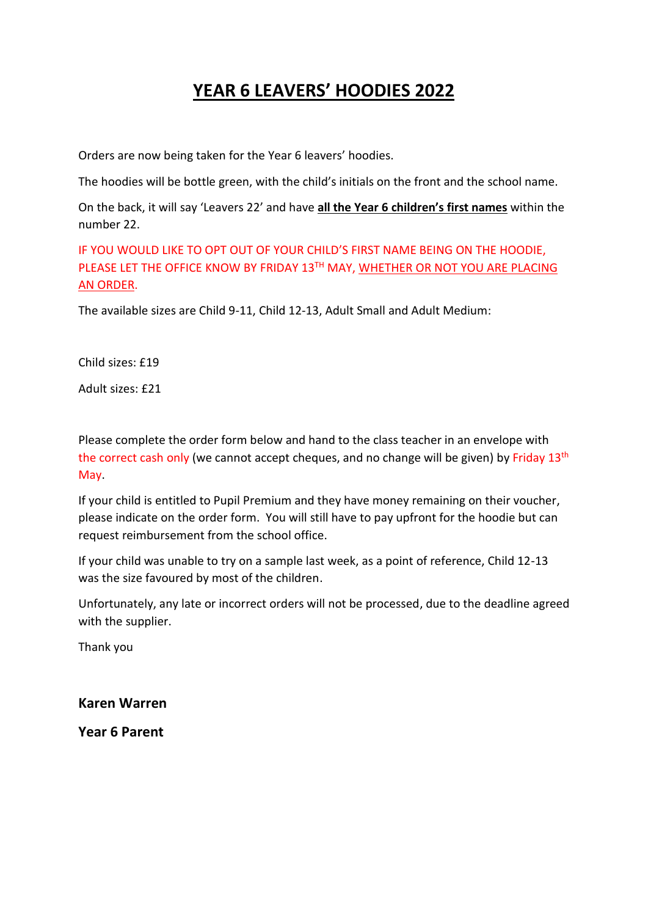## **YEAR 6 LEAVERS' HOODIES 2022**

Orders are now being taken for the Year 6 leavers' hoodies.

The hoodies will be bottle green, with the child's initials on the front and the school name.

On the back, it will say 'Leavers 22' and have **all the Year 6 children's first names** within the number 22.

IF YOU WOULD LIKE TO OPT OUT OF YOUR CHILD'S FIRST NAME BEING ON THE HOODIE, PLEASE LET THE OFFICE KNOW BY FRIDAY 13TH MAY, WHETHER OR NOT YOU ARE PLACING AN ORDER.

The available sizes are Child 9-11, Child 12-13, Adult Small and Adult Medium:

Child sizes: £19

Adult sizes: £21

Please complete the order form below and hand to the class teacher in an envelope with the correct cash only (we cannot accept cheques, and no change will be given) by Friday 13<sup>th</sup> May.

If your child is entitled to Pupil Premium and they have money remaining on their voucher, please indicate on the order form. You will still have to pay upfront for the hoodie but can request reimbursement from the school office.

If your child was unable to try on a sample last week, as a point of reference, Child 12-13 was the size favoured by most of the children.

Unfortunately, any late or incorrect orders will not be processed, due to the deadline agreed with the supplier.

Thank you

**Karen Warren**

**Year 6 Parent**